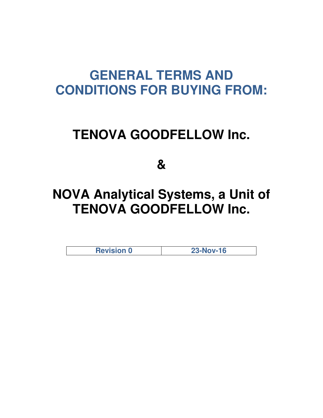## **GENERAL TERMS AND CONDITIONS FOR BUYING FROM:**

## **TENOVA GOODFELLOW Inc.**

**&** 

# **NOVA Analytical Systems, a Unit of TENOVA GOODFELLOW Inc.**

**Revision 0 23-Nov-16**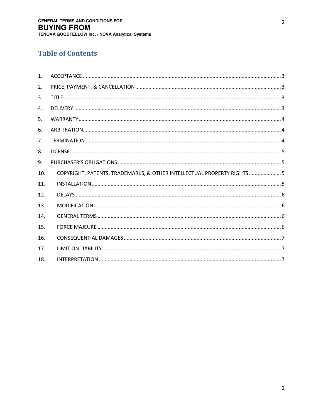## **Table of Contents**

| $\mathbf{1}$ . |                                                                         |
|----------------|-------------------------------------------------------------------------|
| 2.             |                                                                         |
| 3.             |                                                                         |
| 4.             |                                                                         |
| 5.             |                                                                         |
| 6.             |                                                                         |
| 7.             |                                                                         |
| 8.             |                                                                         |
| 9.             |                                                                         |
| 10.            | COPYRIGHT, PATENTS, TRADEMARKS, & OTHER INTELLECTUAL PROPERTY RIGHTS  5 |
| 11.            |                                                                         |
| 12.            |                                                                         |
| 13.            |                                                                         |
| 14.            |                                                                         |
| 15.            |                                                                         |
| 16.            |                                                                         |
| 17.            |                                                                         |
| 18.            |                                                                         |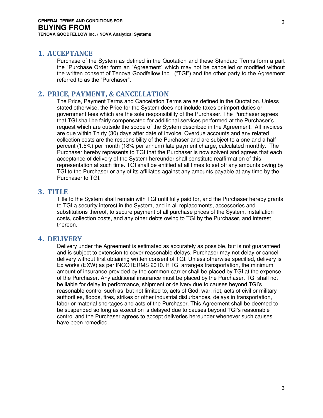### <span id="page-2-0"></span>**1. ACCEPTANCE**

Purchase of the System as defined in the Quotation and these Standard Terms form a part the "Purchase Order form an "Agreement" which may not be cancelled or modified without the written consent of Tenova Goodfellow Inc. ("TGI") and the other party to the Agreement referred to as the "Purchaser".

## <span id="page-2-1"></span>**2. PRICE, PAYMENT, & CANCELLATION**

The Price, Payment Terms and Cancelation Terms are as defined in the Quotation. Unless stated otherwise, the Price for the System does not include taxes or import duties or government fees which are the sole responsibility of the Purchaser. The Purchaser agrees that TGI shall be fairly compensated for additional services performed at the Purchaser's request which are outside the scope of the System described in the Agreement. All invoices are due within Thirty (30) days after date of invoice. Overdue accounts and any related collection costs are the responsibility of the Purchaser and are subject to a one and a half percent (1.5%) per month (18% per annum) late payment charge, calculated monthly. The Purchaser hereby represents to TGI that the Purchaser is now solvent and agrees that each acceptance of delivery of the System hereunder shall constitute reaffirmation of this representation at such time. TGI shall be entitled at all times to set off any amounts owing by TGI to the Purchaser or any of its affiliates against any amounts payable at any time by the Purchaser to TGI.

## <span id="page-2-2"></span>**3. TITLE**

Title to the System shall remain with TGI until fully paid for, and the Purchaser hereby grants to TGI a security interest in the System, and in all replacements, accessories and substitutions thereof, to secure payment of all purchase prices of the System, installation costs, collection costs, and any other debts owing to TGI by the Purchaser, and interest thereon.

### <span id="page-2-3"></span>**4. DELIVERY**

Delivery under the Agreement is estimated as accurately as possible, but is not guaranteed and is subject to extension to cover reasonable delays. Purchaser may not delay or cancel delivery without first obtaining written consent of TGI. Unless otherwise specified, delivery is Ex works (EXW) as per INCOTERMS 2010. If TGI arranges transportation, the minimum amount of insurance provided by the common carrier shall be placed by TGI at the expense of the Purchaser. Any additional insurance must be placed by the Purchaser. TGI shall not be liable for delay in performance, shipment or delivery due to causes beyond TGI's reasonable control such as, but not limited to, acts of God, war, riot, acts of civil or military authorities, floods, fires, strikes or other industrial disturbances, delays in transportation, labor or material shortages and acts of the Purchaser. This Agreement shall be deemed to be suspended so long as execution is delayed due to causes beyond TGI's reasonable control and the Purchaser agrees to accept deliveries hereunder whenever such causes have been remedied.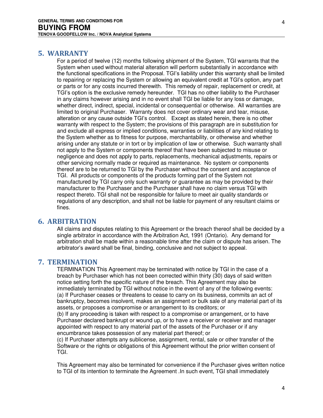#### <span id="page-3-0"></span>**5. WARRANTY**

For a period of twelve (12) months following shipment of the System, TGI warrants that the System when used without material alteration will perform substantially in accordance with the functional specifications in the Proposal. TGI's liability under this warranty shall be limited to repairing or replacing the System or allowing an equivalent credit at TGI's option, any part or parts or for any costs incurred therewith. This remedy of repair, replacement or credit, at TGI's option is the exclusive remedy hereunder. TGI has no other liability to the Purchaser in any claims however arising and in no event shall TGI be liable for any loss or damage, whether direct, indirect, special, incidental or consequential or otherwise. All warranties are limited to original Purchaser. Warranty does not cover ordinary wear and tear, misuse, alteration or any cause outside TGI's control. Except as stated herein, there is no other warranty with respect to the System; the provisions of this paragraph are in substitution for and exclude all express or implied conditions, warranties or liabilities of any kind relating to the System whether as to fitness for purpose, merchantability, or otherwise and whether arising under any statute or in tort or by implication of law or otherwise. Such warranty shall not apply to the System or components thereof that have been subjected to misuse or negligence and does not apply to parts, replacements, mechanical adjustments, repairs or other servicing normally made or required as maintenance. No system or components thereof are to be returned to TGI by the Purchaser without the consent and acceptance of TGI. All products or components of the products forming part of the System not manufactured by TGI carry only such warranty or guarantee as may be provided by their manufacturer to the Purchaser and the Purchaser shall have no claim versus TGI with respect thereto. TGI shall not be responsible for failure to meet air quality standards or regulations of any description, and shall not be liable for payment of any resultant claims or fines.

#### <span id="page-3-1"></span>**6. ARBITRATION**

All claims and disputes relating to this Agreement or the breach thereof shall be decided by a single arbitrator in accordance with the Arbitration Act, 1991 (Ontario). Any demand for arbitration shall be made within a reasonable time after the claim or dispute has arisen. The arbitrator's award shall be final, binding, conclusive and not subject to appeal.

#### <span id="page-3-2"></span>**7. TERMINATION**

TERMINATION This Agreement may be terminated with notice by TGI in the case of a breach by Purchaser which has not been corrected within thirty (30) days of said written notice setting forth the specific nature of the breach. This Agreement may also be immediately terminated by TGI without notice in the event of any of the following events: (a) If Purchaser ceases or threatens to cease to carry on its business, commits an act of bankruptcy, becomes insolvent, makes an assignment or bulk sale of any material part of its assets, or proposes a compromise or arrangement to its creditors; or

(b) If any proceeding is taken with respect to a compromise or arrangement, or to have Purchaser declared bankrupt or wound up, or to have a receiver or receiver and manager appointed with respect to any material part of the assets of the Purchaser or if any encumbrance takes possession of any material part thereof; or

(c) If Purchaser attempts any sublicense, assignment, rental, sale or other transfer of the Software or the rights or obligations of this Agreement without the prior written consent of TGI.

This Agreement may also be terminated for convenience if the Purchaser gives written notice to TGI of its intention to terminate the Agreement .In such event, TGI shall immediately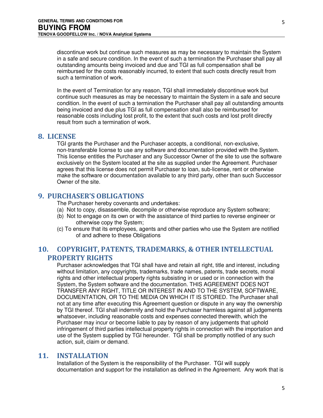discontinue work but continue such measures as may be necessary to maintain the System in a safe and secure condition. In the event of such a termination the Purchaser shall pay all outstanding amounts being invoiced and due and TGI as full compensation shall be reimbursed for the costs reasonably incurred, to extent that such costs directly result from such a termination of work.

In the event of Termination for any reason, TGI shall immediately discontinue work but continue such measures as may be necessary to maintain the System in a safe and secure condition. In the event of such a termination the Purchaser shall pay all outstanding amounts being invoiced and due plus TGI as full compensation shall also be reimbursed for reasonable costs including lost profit, to the extent that such costs and lost profit directly result from such a termination of work.

#### <span id="page-4-0"></span>**8. LICENSE**

TGI grants the Purchaser and the Purchaser accepts, a conditional, non-exclusive, non-transferable license to use any software and documentation provided with the System. This license entitles the Purchaser and any Successor Owner of the site to use the software exclusively on the System located at the site as supplied under the Agreement. Purchaser agrees that this license does not permit Purchaser to loan, sub-license, rent or otherwise make the software or documentation available to any third party, other than such Successor Owner of the site.

#### <span id="page-4-1"></span>**9. PURCHASER'S OBLIGATIONS**

The Purchaser hereby covenants and undertakes:

- (a) Not to copy, disassemble, decompile or otherwise reproduce any System software;
- (b) Not to engage on its own or with the assistance of third parties to reverse engineer or otherwise copy the System;
- (c) To ensure that its employees, agents and other parties who use the System are notified of and adhere to these Obligations

## <span id="page-4-2"></span>**10. COPYRIGHT, PATENTS, TRADEMARKS, & OTHER INTELLECTUAL PROPERTY RIGHTS**

Purchaser acknowledges that TGI shall have and retain all right, title and interest, including without limitation, any copyrights, trademarks, trade names, patents, trade secrets, moral rights and other intellectual property rights subsisting in or used or in connection with the System, the System software and the documentation. THIS AGREEMENT DOES NOT TRANSFER ANY RIGHT, TITLE OR INTEREST IN AND TO THE SYSTEM, SOFTWARE, DOCUMENTATION, OR TO THE MEDIA ON WHICH IT IS STORED. The Purchaser shall not at any time after executing this Agreement question or dispute in any way the ownership by TGI thereof. TGI shall indemnify and hold the Purchaser harmless against all judgements whatsoever, including reasonable costs and expenses connected therewith, which the Purchaser may incur or become liable to pay by reason of any judgements that uphold infringement of third parties intellectual property rights in connection with the importation and use of the System supplied by TGI hereunder. TGI shall be promptly notified of any such action, suit, claim or demand.

#### <span id="page-4-3"></span>**11. INSTALLATION**

Installation of the System is the responsibility of the Purchaser. TGI will supply documentation and support for the installation as defined in the Agreement. Any work that is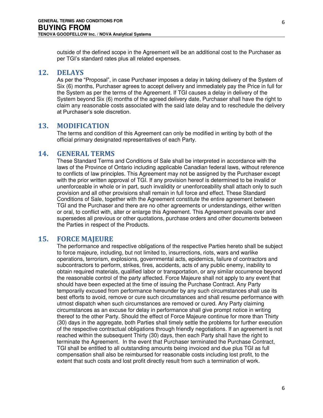outside of the defined scope in the Agreement will be an additional cost to the Purchaser as per TGI's standard rates plus all related expenses.

#### <span id="page-5-0"></span>**12. DELAYS**

As per the "Proposal", in case Purchaser imposes a delay in taking delivery of the System of Six (6) months, Purchaser agrees to accept delivery and immediately pay the Price in full for the System as per the terms of the Agreement. If TGI causes a delay in delivery of the System beyond Six (6) months of the agreed delivery date, Purchaser shall have the right to claim any reasonable costs associated with the said late delay and to reschedule the delivery at Purchaser's sole discretion.

#### <span id="page-5-1"></span>**13. MODIFICATION**

The terms and condition of this Agreement can only be modified in writing by both of the official primary designated representatives of each Party.

#### <span id="page-5-2"></span>**14. GENERAL TERMS**

These Standard Terms and Conditions of Sale shall be interpreted in accordance with the laws of the Province of Ontario including applicable Canadian federal laws, without reference to conflicts of law principles. This Agreement may not be assigned by the Purchaser except with the prior written approval of TGI. If any provision hereof is determined to be invalid or unenforceable in whole or in part, such invalidity or unenforceability shall attach only to such provision and all other provisions shall remain in full force and effect. These Standard Conditions of Sale, together with the Agreement constitute the entire agreement between TGI and the Purchaser and there are no other agreements or understandings, either written or oral, to conflict with, alter or enlarge this Agreement. This Agreement prevails over and supersedes all previous or other quotations, purchase orders and other documents between the Parties in respect of the Products.

#### <span id="page-5-3"></span>**15. FORCE MAJEURE**

The performance and respective obligations of the respective Parties hereto shall be subject to force majeure, including, but not limited to, insurrections, riots, wars and warlike operations, terrorism, explosions, governmental acts, epidemics, failure of contractors and subcontractors to perform, strikes, fires, accidents, acts of any public enemy, inability to obtain required materials, qualified labor or transportation, or any similar occurrence beyond the reasonable control of the party affected. Force Majeure shall not apply to any event that should have been expected at the time of issuing the Purchase Contract. Any Party temporarily excused from performance hereunder by any such circumstances shall use its best efforts to avoid, remove or cure such circumstances and shall resume performance with utmost dispatch when such circumstances are removed or cured. Any Party claiming circumstances as an excuse for delay in performance shall give prompt notice in writing thereof to the other Party. Should the effect of Force Majeure continue for more than Thirty (30) days in the aggregate, both Parties shall timely settle the problems for further execution of the respective contractual obligations through friendly negotiations. If an agreement is not reached within the subsequent Thirty (30) days, then each Party shall have the right to terminate the Agreement. In the event that Purchaser terminated the Purchase Contract, TGI shall be entitled to all outstanding amounts being invoiced and due plus TGI as full compensation shall also be reimbursed for reasonable costs including lost profit, to the extent that such costs and lost profit directly result from such a termination of work.